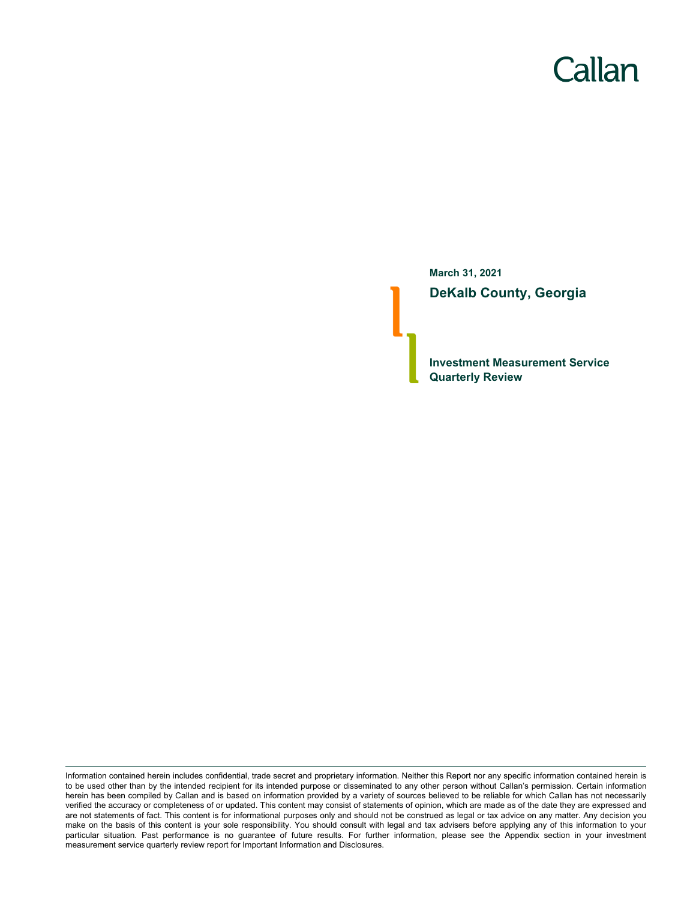# Callan

**March 31, 2021 DeKalb County, Georgia**

**Investment Measurement Service Quarterly Review**

Information contained herein includes confidential, trade secret and proprietary information. Neither this Report nor any specific information contained herein is to be used other than by the intended recipient for its intended purpose or disseminated to any other person without Callan's permission. Certain information herein has been compiled by Callan and is based on information provided by a variety of sources believed to be reliable for which Callan has not necessarily verified the accuracy or completeness of or updated. This content may consist of statements of opinion, which are made as of the date they are expressed and are not statements of fact. This content is for informational purposes only and should not be construed as legal or tax advice on any matter. Any decision you make on the basis of this content is your sole responsibility. You should consult with legal and tax advisers before applying any of this information to your particular situation. Past performance is no guarantee of future results. For further information, please see the Appendix section in your investment measurement service quarterly review report for Important Information and Disclosures.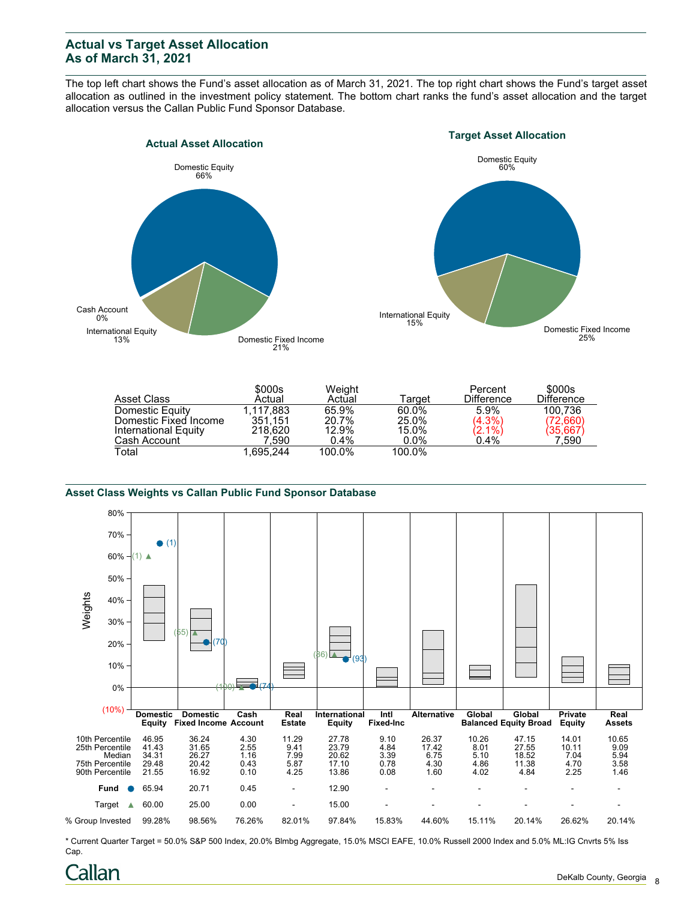# **Actual vs Target Asset Allocation As of March 31, 2021**

The top left chart shows the Fund's asset allocation as of March 31, 2021. The top right chart shows the Fund's target asset allocation as outlined in the investment policy statement. The bottom chart ranks the fund's asset allocation and the target allocation versus the Callan Public Fund Sponsor Database.



| Asset Class           | \$000s<br>Actual | Weight<br>Actual | Tarɑet  | Percent<br><b>Difference</b> | \$000s<br>Difference |
|-----------------------|------------------|------------------|---------|------------------------------|----------------------|
| Domestic Equity       | 1.117.883        | 65.9%            | 60.0%   | 5.9%                         | 100.736              |
| Domestic Fixed Income | 351.151          | 20.7%            | 25.0%   | $(4.3\%)$                    | (72.660)             |
| International Equity  | 218.620          | 12.9%            | 15.0%   | $(2.1\%)$                    | (35,667)             |
| Cash Account          | 7.590            | $0.4\%$          | $0.0\%$ | 0.4%                         | 7,590                |
| Total                 | 1.695.244        | 100.0%           | 100.0%  |                              |                      |

#### **Asset Class Weights vs Callan Public Fund Sponsor Database**



\* Current Quarter Target = 50.0% S&P 500 Index, 20.0% Blmbg Aggregate, 15.0% MSCI EAFE, 10.0% Russell 2000 Index and 5.0% ML:IG Cnvrts 5% Iss Cap.

# Callan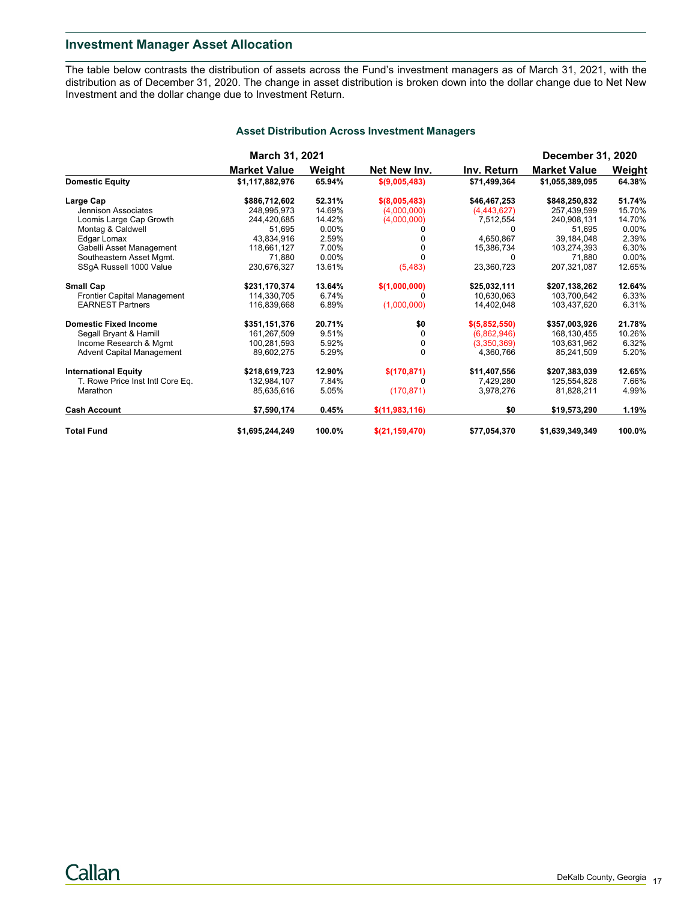## **Investment Manager Asset Allocation**

The table below contrasts the distribution of assets across the Fund's investment managers as of March 31, 2021, with the distribution as of December 31, 2020. The change in asset distribution is broken down into the dollar change due to Net New Investment and the dollar change due to Investment Return.

|                                  | <b>March 31, 2021</b> |          |                  |                | <b>December 31, 2020</b> |          |
|----------------------------------|-----------------------|----------|------------------|----------------|--------------------------|----------|
|                                  | <b>Market Value</b>   | Weight   | Net New Inv.     | Inv. Return    | <b>Market Value</b>      | Weight   |
| <b>Domestic Equity</b>           | \$1,117,882,976       | 65.94%   | \$(9,005,483)    | \$71,499,364   | \$1,055,389,095          | 64.38%   |
| Large Cap                        | \$886,712,602         | 52.31%   | \$ (8,005,483)   | \$46.467.253   | \$848,250,832            | 51.74%   |
| Jennison Associates              | 248.995.973           | 14.69%   | (4.000.000)      | (4.443.627)    | 257.439.599              | 15.70%   |
| Loomis Large Cap Growth          | 244,420,685           | 14.42%   | (4,000,000)      | 7,512,554      | 240,908,131              | 14.70%   |
| Montag & Caldwell                | 51.695                | 0.00%    |                  |                | 51.695                   | $0.00\%$ |
| Edgar Lomax                      | 43.834.916            | 2.59%    |                  | 4,650,867      | 39.184.048               | 2.39%    |
| Gabelli Asset Management         | 118,661,127           | 7.00%    |                  | 15,386,734     | 103,274,393              | 6.30%    |
| Southeastern Asset Mgmt.         | 71.880                | $0.00\%$ |                  | 0              | 71.880                   | $0.00\%$ |
| SSqA Russell 1000 Value          | 230,676,327           | 13.61%   | (5,483)          | 23,360,723     | 207,321,087              | 12.65%   |
| <b>Small Cap</b>                 | \$231,170,374         | 13.64%   | \$(1,000,000)    | \$25,032,111   | \$207,138,262            | 12.64%   |
| Frontier Capital Management      | 114.330.705           | 6.74%    | U                | 10.630.063     | 103.700.642              | 6.33%    |
| <b>EARNEST Partners</b>          | 116.839.668           | 6.89%    | (1,000,000)      | 14,402,048     | 103,437,620              | 6.31%    |
| <b>Domestic Fixed Income</b>     | \$351,151,376         | 20.71%   | \$0              | \$ (5,852,550) | \$357,003,926            | 21.78%   |
| Segall Bryant & Hamill           | 161.267.509           | 9.51%    | $\Omega$         | (6,862,946)    | 168,130,455              | 10.26%   |
| Income Research & Mgmt           | 100,281,593           | 5.92%    | $\mathbf 0$      | (3,350,369)    | 103,631,962              | 6.32%    |
| <b>Advent Capital Management</b> | 89,602,275            | 5.29%    | 0                | 4,360,766      | 85,241,509               | 5.20%    |
| <b>International Equity</b>      | \$218,619,723         | 12.90%   | \$(170, 871)     | \$11,407,556   | \$207,383,039            | 12.65%   |
| T. Rowe Price Inst Intl Core Eq. | 132,984,107           | 7.84%    |                  | 7,429,280      | 125,554,828              | 7.66%    |
| Marathon                         | 85.635.616            | 5.05%    | (170, 871)       | 3.978.276      | 81,828,211               | 4.99%    |
| <b>Cash Account</b>              | \$7,590,174           | 0.45%    | \$(11, 983, 116) | \$0            | \$19,573,290             | 1.19%    |
| <b>Total Fund</b>                | \$1,695,244,249       | 100.0%   | \$(21, 159, 470) | \$77,054,370   | \$1,639,349,349          | 100.0%   |

#### **Asset Distribution Across Investment Managers**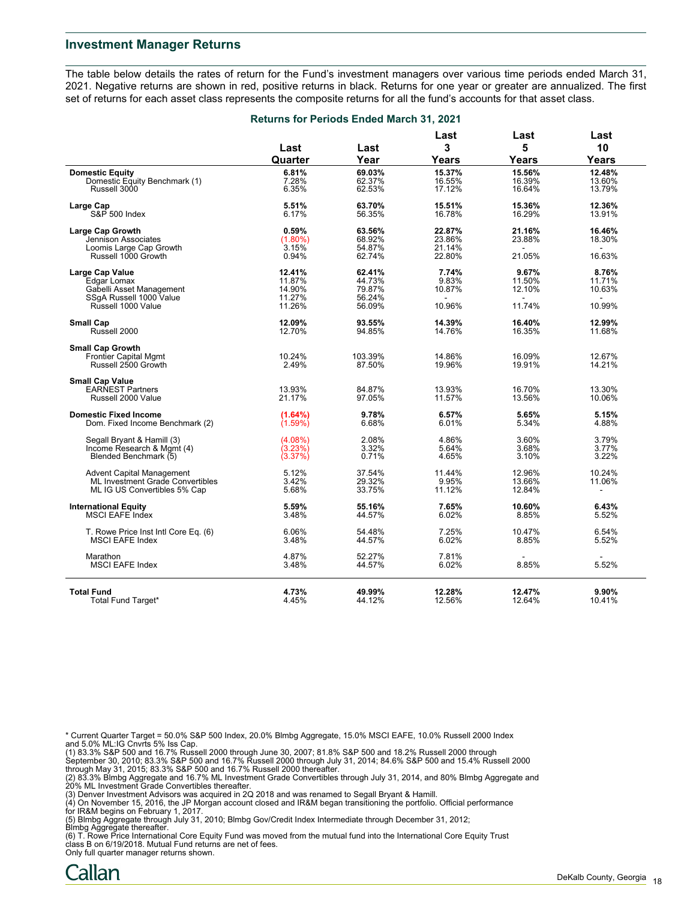#### **Investment Manager Returns**

The table below details the rates of return for the Fund's investment managers over various time periods ended March 31, 2021. Negative returns are shown in red, positive returns in black. Returns for one year or greater are annualized. The first set of returns for each asset class represents the composite returns for all the fund's accounts for that asset class.

|                                      | Returns for Periods Ended March 31, 2021 |         |           |           |                |  |
|--------------------------------------|------------------------------------------|---------|-----------|-----------|----------------|--|
|                                      | Last                                     | Last    | Last<br>3 | Last<br>5 | Last<br>10     |  |
|                                      | Quarter                                  | Year    | Years     | Years     | Years          |  |
| <b>Domestic Equity</b>               | 6.81%                                    | 69.03%  | 15.37%    | 15.56%    | 12.48%         |  |
| Domestic Equity Benchmark (1)        | 7.28%                                    | 62.37%  | 16.55%    | 16.39%    | 13.60%         |  |
| Russell 3000                         | 6.35%                                    | 62.53%  | 17.12%    | 16.64%    | 13.79%         |  |
|                                      |                                          |         |           |           |                |  |
| Large Cap                            | 5.51%                                    | 63.70%  | 15.51%    | 15.36%    | 12.36%         |  |
| S&P 500 Index                        | 6.17%                                    | 56.35%  | 16.78%    | 16.29%    | 13.91%         |  |
|                                      |                                          |         |           |           |                |  |
| <b>Large Cap Growth</b>              | 0.59%                                    | 63.56%  | 22.87%    | 21.16%    | 16.46%         |  |
| Jennison Associates                  | $(1.80\%)$                               | 68.92%  | 23.86%    | 23.88%    | 18.30%         |  |
| Loomis Large Cap Growth              | 3.15%                                    | 54.87%  | 21.14%    |           | ÷.             |  |
| Russell 1000 Growth                  | 0.94%                                    | 62.74%  | 22.80%    | 21.05%    | 16.63%         |  |
|                                      |                                          |         |           |           |                |  |
| Large Cap Value                      | 12.41%                                   | 62.41%  | 7.74%     | 9.67%     | 8.76%          |  |
| Edgar Lomax                          | 11.87%                                   | 44.73%  | 9.83%     | 11.50%    | 11.71%         |  |
| Gabelli Asset Management             | 14.90%                                   | 79.87%  | 10.87%    | 12.10%    | 10.63%         |  |
| SSgA Russell 1000 Value              | 11.27%                                   | 56.24%  | $\sim$    | $\sim$    | $\sim$         |  |
| Russell 1000 Value                   | 11.26%                                   | 56.09%  | 10.96%    | 11.74%    | 10.99%         |  |
|                                      |                                          |         |           |           |                |  |
| <b>Small Cap</b>                     | 12.09%                                   | 93.55%  | 14.39%    | 16.40%    | 12.99%         |  |
| Russell 2000                         | 12.70%                                   | 94.85%  | 14.76%    | 16.35%    | 11.68%         |  |
|                                      |                                          |         |           |           |                |  |
| <b>Small Cap Growth</b>              |                                          |         |           |           |                |  |
| <b>Frontier Capital Mgmt</b>         | 10.24%                                   | 103.39% | 14.86%    | 16.09%    | 12.67%         |  |
| Russell 2500 Growth                  | 2.49%                                    | 87.50%  | 19.96%    | 19.91%    | 14.21%         |  |
|                                      |                                          |         |           |           |                |  |
| <b>Small Cap Value</b>               |                                          |         |           |           |                |  |
| <b>EARNEST Partners</b>              | 13.93%                                   | 84.87%  | 13.93%    | 16.70%    | 13.30%         |  |
| Russell 2000 Value                   | 21.17%                                   | 97.05%  | 11.57%    | 13.56%    | 10.06%         |  |
| <b>Domestic Fixed Income</b>         | (1.64%)                                  | 9.78%   | 6.57%     | 5.65%     | 5.15%          |  |
| Dom. Fixed Income Benchmark (2)      | (1.59%)                                  | 6.68%   | 6.01%     | 5.34%     | 4.88%          |  |
|                                      |                                          |         |           |           |                |  |
| Segall Bryant & Hamill (3)           | $(4.08\%)$                               | 2.08%   | 4.86%     | 3.60%     | 3.79%          |  |
| Income Research & Mgmt (4)           | (3.23%)                                  | 3.32%   | 5.64%     | 3.68%     | 3.77%          |  |
| Blended Benchmark (5)                | (3.37%)                                  | 0.71%   | 4.65%     | 3.10%     | 3.22%          |  |
|                                      |                                          |         |           |           |                |  |
| <b>Advent Capital Management</b>     | 5.12%                                    | 37.54%  | 11.44%    | 12.96%    | 10.24%         |  |
| ML Investment Grade Convertibles     | 3.42%                                    | 29.32%  | 9.95%     | 13.66%    | 11.06%         |  |
| ML IG US Convertibles 5% Cap         | 5.68%                                    | 33.75%  | 11.12%    | 12.84%    | $\blacksquare$ |  |
|                                      |                                          |         |           |           |                |  |
| <b>International Equity</b>          | 5.59%                                    | 55.16%  | 7.65%     | 10.60%    | 6.43%          |  |
| MSCI EAFE Index                      | 3.48%                                    | 44.57%  | 6.02%     | 8.85%     | 5.52%          |  |
|                                      |                                          |         |           |           |                |  |
| T. Rowe Price Inst Intl Core Eq. (6) | 6.06%                                    | 54.48%  | 7.25%     | 10.47%    | 6.54%          |  |
| <b>MSCI EAFE Index</b>               | 3.48%                                    | 44.57%  | 6.02%     | 8.85%     | 5.52%          |  |
|                                      |                                          |         |           |           |                |  |
| Marathon                             | 4.87%                                    | 52.27%  | 7.81%     |           |                |  |
| <b>MSCI EAFE Index</b>               | 3.48%                                    | 44.57%  | 6.02%     | 8.85%     | 5.52%          |  |
|                                      |                                          |         |           |           |                |  |
| <b>Total Fund</b>                    | 4.73%                                    | 49.99%  | 12.28%    | 12.47%    | 9.90%          |  |
| Total Fund Target*                   | 4.45%                                    | 44.12%  | 12.56%    | 12.64%    | 10.41%         |  |
|                                      |                                          |         |           |           |                |  |

\* Current Quarter Target = 50.0% S&P 500 Index, 20.0% Blmbg Aggregate, 15.0% MSCI EAFE, 10.0% Russell 2000 Index

and 5.0% ML:IG Cnvrts 5% Iss Cap.<br>(1) 83.3% S&P 500 and 16.7% Russell 2000 through June 30, 2007; 81.8% S&P 500 and 18.2% Russell 2000 through<br>September 30, 2010; 83.3% S&P 500 and 16.7% Russell 2000 through July 31, 2014;

(2) 83.3% Blmbg Aggregate and 16.7% ML Investment Grade Convertibles through July 31, 2014, and 80% Blmbg Aggregate and<br>20% ML Investment Grade Convertibles thereafter.<br>(3) Denver Investment Advisors was acquired in 2Q 201

for IR&M begins on February 1, 2017.

(5) Blmbg Aggregate through July 31, 2010; Blmbg Gov/Credit Index Intermediate through December 31, 2012;

Blmbg Aggregate thereafter. (6) T. Rowe Price International Core Equity Fund was moved from the mutual fund into the International Core Equity Trust class B on 6/19/2018. Mutual Fund returns are net of fees.

Only full quarter manager returns shown.

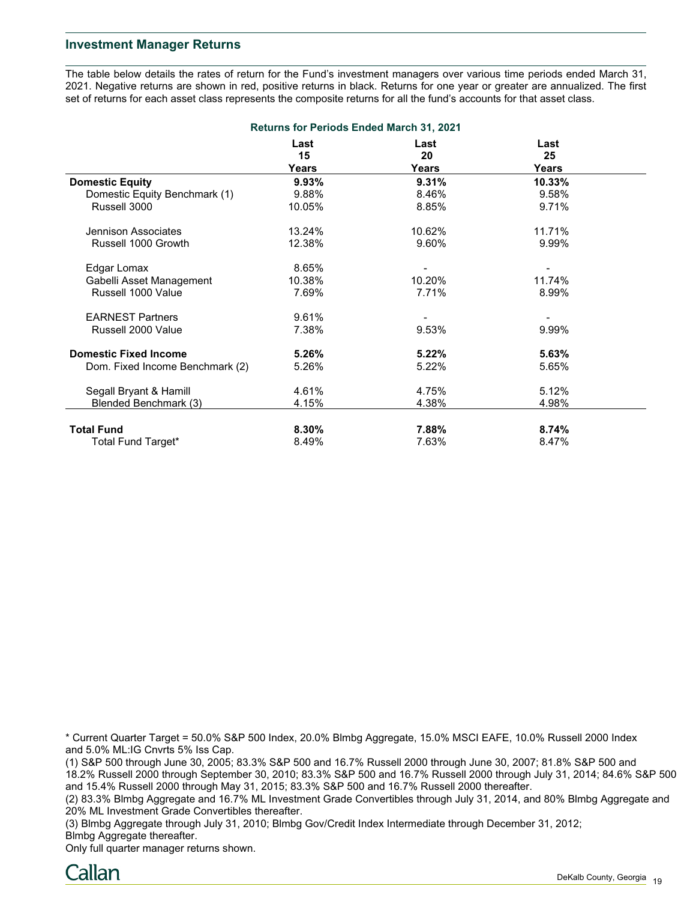#### **Investment Manager Returns**

The table below details the rates of return for the Fund's investment managers over various time periods ended March 31, 2021. Negative returns are shown in red, positive returns in black. Returns for one year or greater are annualized. The first set of returns for each asset class represents the composite returns for all the fund's accounts for that asset class.

| <b>Returns for Periods Ended March 31, 2021</b> |            |            |            |  |  |  |
|-------------------------------------------------|------------|------------|------------|--|--|--|
|                                                 | Last<br>15 | Last<br>20 | Last<br>25 |  |  |  |
|                                                 | Years      | Years      | Years      |  |  |  |
| <b>Domestic Equity</b>                          | $9.93\%$   | 9.31%      | 10.33%     |  |  |  |
| Domestic Equity Benchmark (1)                   | 9.88%      | 8.46%      | 9.58%      |  |  |  |
| Russell 3000                                    | 10.05%     | 8.85%      | 9.71%      |  |  |  |
| Jennison Associates                             | 13.24%     | 10.62%     | 11.71%     |  |  |  |
| Russell 1000 Growth                             | 12.38%     | 9.60%      | 9.99%      |  |  |  |
| Edgar Lomax                                     | 8.65%      |            |            |  |  |  |
| Gabelli Asset Management                        | 10.38%     | 10.20%     | 11.74%     |  |  |  |
| Russell 1000 Value                              | 7.69%      | 7.71%      | 8.99%      |  |  |  |
| <b>EARNEST Partners</b>                         | 9.61%      |            |            |  |  |  |
| Russell 2000 Value                              | 7.38%      | 9.53%      | 9.99%      |  |  |  |
| <b>Domestic Fixed Income</b>                    | 5.26%      | 5.22%      | 5.63%      |  |  |  |
| Dom. Fixed Income Benchmark (2)                 | 5.26%      | 5.22%      | 5.65%      |  |  |  |
| Segall Bryant & Hamill                          | 4.61%      | 4.75%      | 5.12%      |  |  |  |
| Blended Benchmark (3)                           | 4.15%      | 4.38%      | 4.98%      |  |  |  |
| <b>Total Fund</b>                               | 8.30%      | 7.88%      | 8.74%      |  |  |  |
| Total Fund Target*                              | 8.49%      | 7.63%      | 8.47%      |  |  |  |

\* Current Quarter Target = 50.0% S&P 500 Index, 20.0% Blmbg Aggregate, 15.0% MSCI EAFE, 10.0% Russell 2000 Index and 5.0% ML:IG Cnvrts 5% Iss Cap.

(1) S&P 500 through June 30, 2005; 83.3% S&P 500 and 16.7% Russell 2000 through June 30, 2007; 81.8% S&P 500 and 18.2% Russell 2000 through September 30, 2010; 83.3% S&P 500 and 16.7% Russell 2000 through July 31, 2014; 84.6% S&P 500 and 15.4% Russell 2000 through May 31, 2015; 83.3% S&P 500 and 16.7% Russell 2000 thereafter.

(2) 83.3% Blmbg Aggregate and 16.7% ML Investment Grade Convertibles through July 31, 2014, and 80% Blmbg Aggregate and 20% ML Investment Grade Convertibles thereafter.

(3) Blmbg Aggregate through July 31, 2010; Blmbg Gov/Credit Index Intermediate through December 31, 2012; Blmbg Aggregate thereafter.

Only full quarter manager returns shown.